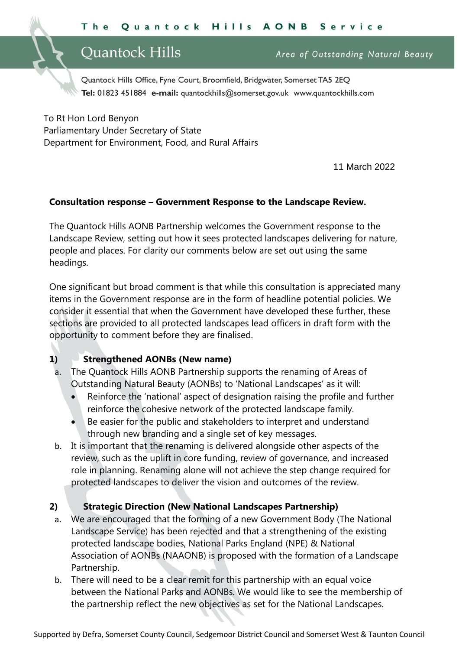Quantock Hills

Area of Outstanding Natural Beauty

Quantock Hills Office, Fyne Court, Broomfield, Bridgwater, Somerset TA5 2EQ Tel: 01823 451884 e-mail: quantockhills@somerset.gov.uk www.quantockhills.com

To Rt Hon Lord Benyon Parliamentary Under Secretary of State Department for Environment, Food, and Rural Affairs

11 March 2022

#### **Consultation response – Government Response to the Landscape Review.**

The Quantock Hills AONB Partnership welcomes the Government response to the Landscape Review, setting out how it sees protected landscapes delivering for nature, people and places. For clarity our comments below are set out using the same headings.

One significant but broad comment is that while this consultation is appreciated many items in the Government response are in the form of headline potential policies. We consider it essential that when the Government have developed these further, these sections are provided to all protected landscapes lead officers in draft form with the opportunity to comment before they are finalised.

#### **1) Strengthened AONBs (New name)**

- a. The Quantock Hills AONB Partnership supports the renaming of Areas of Outstanding Natural Beauty (AONBs) to 'National Landscapes' as it will:
	- Reinforce the 'national' aspect of designation raising the profile and further reinforce the cohesive network of the protected landscape family.
	- Be easier for the public and stakeholders to interpret and understand through new branding and a single set of key messages.
- b. It is important that the renaming is delivered alongside other aspects of the review, such as the uplift in core funding, review of governance, and increased role in planning. Renaming alone will not achieve the step change required for protected landscapes to deliver the vision and outcomes of the review.

#### **2) Strategic Direction (New National Landscapes Partnership)**

- a. We are encouraged that the forming of a new Government Body (The National Landscape Service) has been rejected and that a strengthening of the existing protected landscape bodies, National Parks England (NPE) & National Association of AONBs (NAAONB) is proposed with the formation of a Landscape Partnership.
- b. There will need to be a clear remit for this partnership with an equal voice between the National Parks and AONBs. We would like to see the membership of the partnership reflect the new objectives as set for the National Landscapes.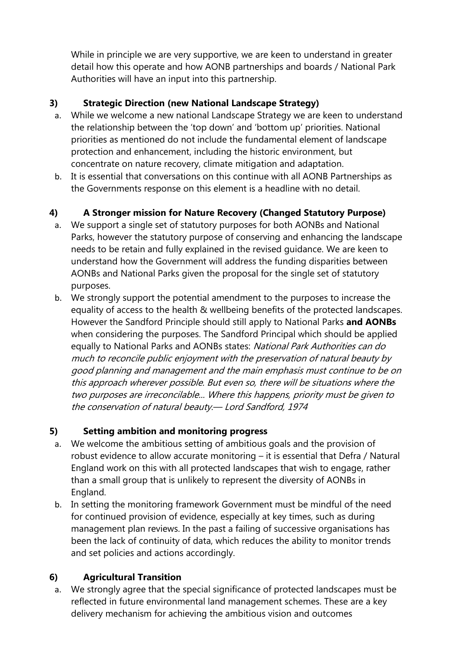While in principle we are very supportive, we are keen to understand in greater detail how this operate and how AONB partnerships and boards / National Park Authorities will have an input into this partnership.

# **3) Strategic Direction (new National Landscape Strategy)**

- a. While we welcome a new national Landscape Strategy we are keen to understand the relationship between the 'top down' and 'bottom up' priorities. National priorities as mentioned do not include the fundamental element of landscape protection and enhancement, including the historic environment, but concentrate on nature recovery, climate mitigation and adaptation.
- b. It is essential that conversations on this continue with all AONB Partnerships as the Governments response on this element is a headline with no detail.

## **4) A Stronger mission for Nature Recovery (Changed Statutory Purpose)**

- a. We support a single set of statutory purposes for both AONBs and National Parks, however the statutory purpose of conserving and enhancing the landscape needs to be retain and fully explained in the revised guidance. We are keen to understand how the Government will address the funding disparities between AONBs and National Parks given the proposal for the single set of statutory purposes.
- b. We strongly support the potential amendment to the purposes to increase the equality of access to the health & wellbeing benefits of the protected landscapes. However the Sandford Principle should still apply to National Parks **and AONBs** when considering the purposes. The Sandford Principal which should be applied equally to National Parks and AONBs states: National Park Authorities can do much to reconcile public enjoyment with the preservation of natural beauty by good planning and management and the main emphasis must continue to be on this approach wherever possible. But even so, there will be situations where the two purposes are irreconcilable... Where this happens, priority must be given to the conservation of natural beauty.— Lord Sandford, 1974

## **5) Setting ambition and monitoring progress**

- a. We welcome the ambitious setting of ambitious goals and the provision of robust evidence to allow accurate monitoring – it is essential that Defra / Natural England work on this with all protected landscapes that wish to engage, rather than a small group that is unlikely to represent the diversity of AONBs in England.
- b. In setting the monitoring framework Government must be mindful of the need for continued provision of evidence, especially at key times, such as during management plan reviews. In the past a failing of successive organisations has been the lack of continuity of data, which reduces the ability to monitor trends and set policies and actions accordingly.

## **6) Agricultural Transition**

a. We strongly agree that the special significance of protected landscapes must be reflected in future environmental land management schemes. These are a key delivery mechanism for achieving the ambitious vision and outcomes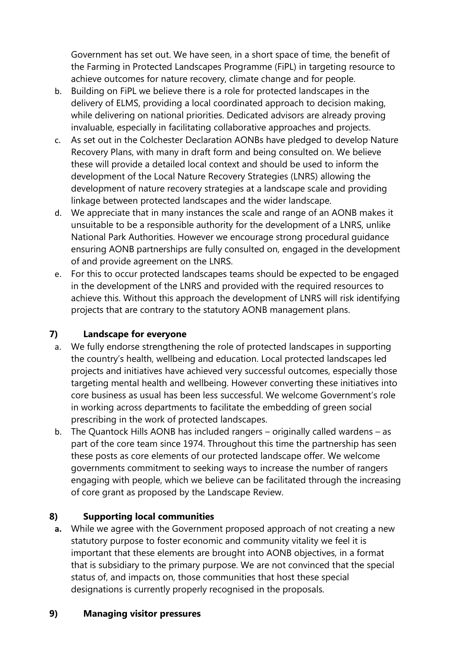Government has set out. We have seen, in a short space of time, the benefit of the Farming in Protected Landscapes Programme (FiPL) in targeting resource to achieve outcomes for nature recovery, climate change and for people.

- b. Building on FiPL we believe there is a role for protected landscapes in the delivery of ELMS, providing a local coordinated approach to decision making, while delivering on national priorities. Dedicated advisors are already proving invaluable, especially in facilitating collaborative approaches and projects.
- c. As set out in the Colchester Declaration AONBs have pledged to develop Nature Recovery Plans, with many in draft form and being consulted on. We believe these will provide a detailed local context and should be used to inform the development of the Local Nature Recovery Strategies (LNRS) allowing the development of nature recovery strategies at a landscape scale and providing linkage between protected landscapes and the wider landscape.
- d. We appreciate that in many instances the scale and range of an AONB makes it unsuitable to be a responsible authority for the development of a LNRS, unlike National Park Authorities. However we encourage strong procedural guidance ensuring AONB partnerships are fully consulted on, engaged in the development of and provide agreement on the LNRS.
- e. For this to occur protected landscapes teams should be expected to be engaged in the development of the LNRS and provided with the required resources to achieve this. Without this approach the development of LNRS will risk identifying projects that are contrary to the statutory AONB management plans.

#### **7) Landscape for everyone**

- a. We fully endorse strengthening the role of protected landscapes in supporting the country's health, wellbeing and education. Local protected landscapes led projects and initiatives have achieved very successful outcomes, especially those targeting mental health and wellbeing. However converting these initiatives into core business as usual has been less successful. We welcome Government's role in working across departments to facilitate the embedding of green social prescribing in the work of protected landscapes.
- b. The Quantock Hills AONB has included rangers originally called wardens as part of the core team since 1974. Throughout this time the partnership has seen these posts as core elements of our protected landscape offer. We welcome governments commitment to seeking ways to increase the number of rangers engaging with people, which we believe can be facilitated through the increasing of core grant as proposed by the Landscape Review.

## **8) Supporting local communities**

**a.** While we agree with the Government proposed approach of not creating a new statutory purpose to foster economic and community vitality we feel it is important that these elements are brought into AONB objectives, in a format that is subsidiary to the primary purpose. We are not convinced that the special status of, and impacts on, those communities that host these special designations is currently properly recognised in the proposals.

## **9) Managing visitor pressures**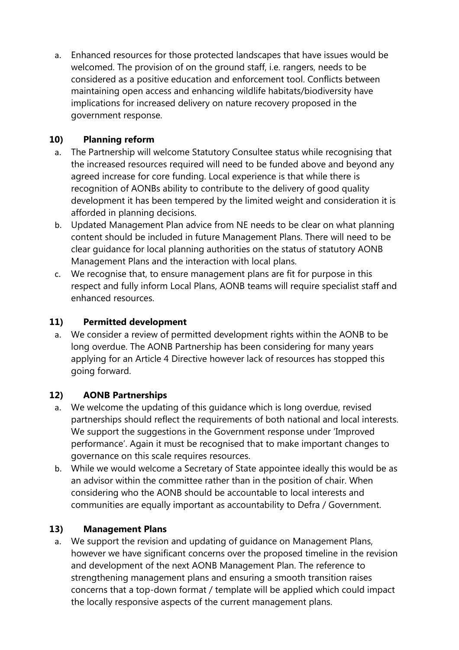a. Enhanced resources for those protected landscapes that have issues would be welcomed. The provision of on the ground staff, i.e. rangers, needs to be considered as a positive education and enforcement tool. Conflicts between maintaining open access and enhancing wildlife habitats/biodiversity have implications for increased delivery on nature recovery proposed in the government response.

#### **10) Planning reform**

- a. The Partnership will welcome Statutory Consultee status while recognising that the increased resources required will need to be funded above and beyond any agreed increase for core funding. Local experience is that while there is recognition of AONBs ability to contribute to the delivery of good quality development it has been tempered by the limited weight and consideration it is afforded in planning decisions.
- b. Updated Management Plan advice from NE needs to be clear on what planning content should be included in future Management Plans. There will need to be clear guidance for local planning authorities on the status of statutory AONB Management Plans and the interaction with local plans.
- c. We recognise that, to ensure management plans are fit for purpose in this respect and fully inform Local Plans, AONB teams will require specialist staff and enhanced resources.

#### **11) Permitted development**

a. We consider a review of permitted development rights within the AONB to be long overdue. The AONB Partnership has been considering for many years applying for an Article 4 Directive however lack of resources has stopped this going forward.

## **12) AONB Partnerships**

- a. We welcome the updating of this guidance which is long overdue, revised partnerships should reflect the requirements of both national and local interests. We support the suggestions in the Government response under 'Improved performance'. Again it must be recognised that to make important changes to governance on this scale requires resources.
- b. While we would welcome a Secretary of State appointee ideally this would be as an advisor within the committee rather than in the position of chair. When considering who the AONB should be accountable to local interests and communities are equally important as accountability to Defra / Government.

#### **13) Management Plans**

a. We support the revision and updating of guidance on Management Plans, however we have significant concerns over the proposed timeline in the revision and development of the next AONB Management Plan. The reference to strengthening management plans and ensuring a smooth transition raises concerns that a top-down format / template will be applied which could impact the locally responsive aspects of the current management plans.